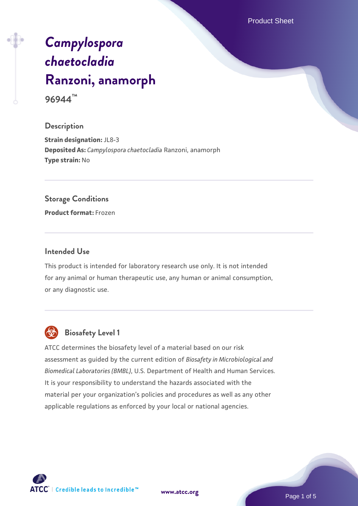Product Sheet

# *[Campylospora](https://www.atcc.org/products/96944) [chaetocladia](https://www.atcc.org/products/96944)* **[Ranzoni, anamorph](https://www.atcc.org/products/96944)**

**96944™**

#### **Description**

**Strain designation:** JL8-3 **Deposited As:** *Campylospora chaetocladia* Ranzoni, anamorph **Type strain:** No

#### **Storage Conditions**

**Product format:** Frozen

#### **Intended Use**

This product is intended for laboratory research use only. It is not intended for any animal or human therapeutic use, any human or animal consumption, or any diagnostic use.



# **Biosafety Level 1**

ATCC determines the biosafety level of a material based on our risk assessment as guided by the current edition of *Biosafety in Microbiological and Biomedical Laboratories (BMBL)*, U.S. Department of Health and Human Services. It is your responsibility to understand the hazards associated with the material per your organization's policies and procedures as well as any other applicable regulations as enforced by your local or national agencies.

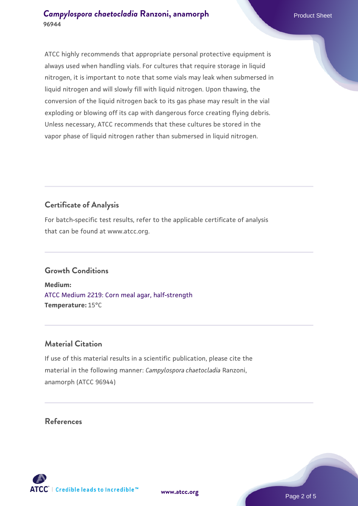ATCC highly recommends that appropriate personal protective equipment is always used when handling vials. For cultures that require storage in liquid nitrogen, it is important to note that some vials may leak when submersed in liquid nitrogen and will slowly fill with liquid nitrogen. Upon thawing, the conversion of the liquid nitrogen back to its gas phase may result in the vial exploding or blowing off its cap with dangerous force creating flying debris. Unless necessary, ATCC recommends that these cultures be stored in the vapor phase of liquid nitrogen rather than submersed in liquid nitrogen.

## **Certificate of Analysis**

For batch-specific test results, refer to the applicable certificate of analysis that can be found at www.atcc.org.

#### **Growth Conditions**

**Medium:**  [ATCC Medium 2219: Corn meal agar, half-strength](https://www.atcc.org/-/media/product-assets/documents/microbial-media-formulations/2/2/1/9/atcc-medium-2219.pdf?rev=56941740a8e44ef5b0ad065230bb5acc) **Temperature:** 15°C

#### **Material Citation**

If use of this material results in a scientific publication, please cite the material in the following manner: *Campylospora chaetocladia* Ranzoni, anamorph (ATCC 96944)

#### **References**



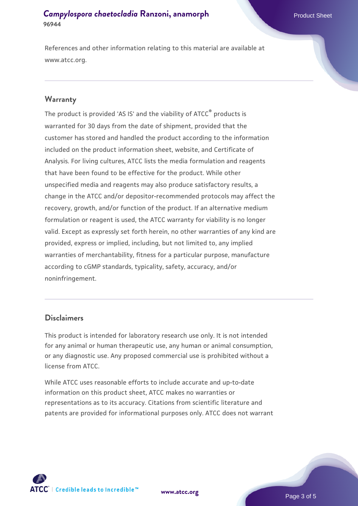References and other information relating to this material are available at www.atcc.org.

#### **Warranty**

The product is provided 'AS IS' and the viability of ATCC® products is warranted for 30 days from the date of shipment, provided that the customer has stored and handled the product according to the information included on the product information sheet, website, and Certificate of Analysis. For living cultures, ATCC lists the media formulation and reagents that have been found to be effective for the product. While other unspecified media and reagents may also produce satisfactory results, a change in the ATCC and/or depositor-recommended protocols may affect the recovery, growth, and/or function of the product. If an alternative medium formulation or reagent is used, the ATCC warranty for viability is no longer valid. Except as expressly set forth herein, no other warranties of any kind are provided, express or implied, including, but not limited to, any implied warranties of merchantability, fitness for a particular purpose, manufacture according to cGMP standards, typicality, safety, accuracy, and/or noninfringement.

#### **Disclaimers**

This product is intended for laboratory research use only. It is not intended for any animal or human therapeutic use, any human or animal consumption, or any diagnostic use. Any proposed commercial use is prohibited without a license from ATCC.

While ATCC uses reasonable efforts to include accurate and up-to-date information on this product sheet, ATCC makes no warranties or representations as to its accuracy. Citations from scientific literature and patents are provided for informational purposes only. ATCC does not warrant



**[www.atcc.org](http://www.atcc.org)**

Page 3 of 5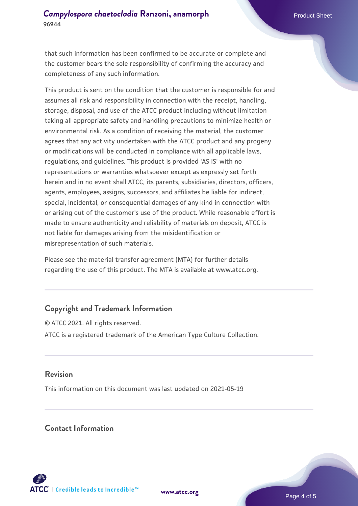that such information has been confirmed to be accurate or complete and the customer bears the sole responsibility of confirming the accuracy and completeness of any such information.

This product is sent on the condition that the customer is responsible for and assumes all risk and responsibility in connection with the receipt, handling, storage, disposal, and use of the ATCC product including without limitation taking all appropriate safety and handling precautions to minimize health or environmental risk. As a condition of receiving the material, the customer agrees that any activity undertaken with the ATCC product and any progeny or modifications will be conducted in compliance with all applicable laws, regulations, and guidelines. This product is provided 'AS IS' with no representations or warranties whatsoever except as expressly set forth herein and in no event shall ATCC, its parents, subsidiaries, directors, officers, agents, employees, assigns, successors, and affiliates be liable for indirect, special, incidental, or consequential damages of any kind in connection with or arising out of the customer's use of the product. While reasonable effort is made to ensure authenticity and reliability of materials on deposit, ATCC is not liable for damages arising from the misidentification or misrepresentation of such materials.

Please see the material transfer agreement (MTA) for further details regarding the use of this product. The MTA is available at www.atcc.org.

### **Copyright and Trademark Information**

© ATCC 2021. All rights reserved. ATCC is a registered trademark of the American Type Culture Collection.

#### **Revision**

This information on this document was last updated on 2021-05-19

#### **Contact Information**



**[www.atcc.org](http://www.atcc.org)**

Page 4 of 5